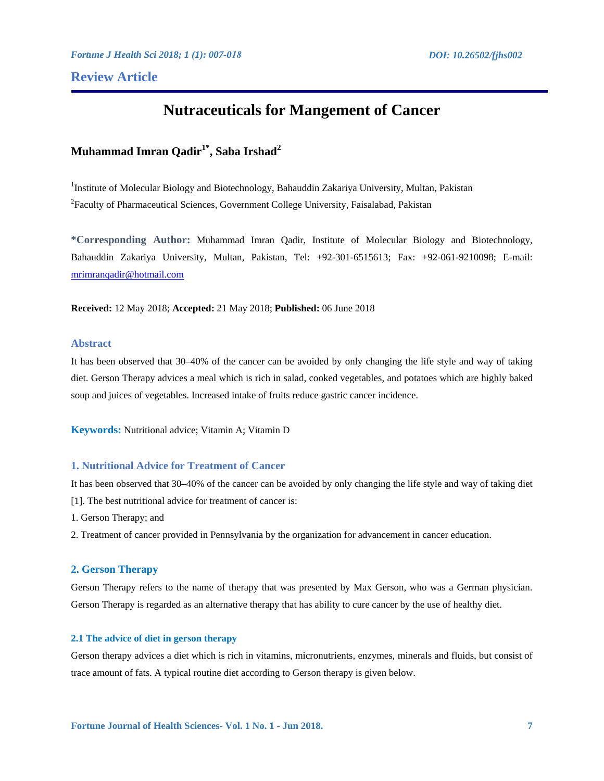**Review Article** 

# **Nutraceuticals for Mangement of Cancer**

# **Muhammad Imran Qadir1\*, Saba Irshad2**

<sup>1</sup>Institute of Molecular Biology and Biotechnology, Bahauddin Zakariya University, Multan, Pakistan <sup>2</sup> Faculty of Pharmaceutical Sciences, Government College University, Faisalabad, Pakistan

**\*Corresponding Author:** Muhammad Imran Qadir, Institute of Molecular Biology and Biotechnology, Bahauddin Zakariya University, Multan, Pakistan, Tel: +92-301-6515613; Fax: +92-061-9210098; E-mail: mrimranqadir@hotmail.com

**Received:** 12 May 2018; **Accepted:** 21 May 2018; **Published:** 06 June 2018

# **Abstract**

It has been observed that 30–40% of the cancer can be avoided by only changing the life style and way of taking diet. Gerson Therapy advices a meal which is rich in salad, cooked vegetables, and potatoes which are highly baked soup and juices of vegetables. Increased intake of fruits reduce gastric cancer incidence.

**Keywords:** Nutritional advice; Vitamin A; Vitamin D

# **1. Nutritional Advice for Treatment of Cancer**

It has been observed that 30–40% of the cancer can be avoided by only changing the life style and way of taking diet [1]. The best nutritional advice for treatment of cancer is:

1. Gerson Therapy; and

2. Treatment of cancer provided in Pennsylvania by the organization for advancement in cancer education.

# **2. Gerson Therapy**

Gerson Therapy refers to the name of therapy that was presented by Max Gerson, who was a German physician. Gerson Therapy is regarded as an alternative therapy that has ability to cure cancer by the use of healthy diet.

### **2.1 The advice of diet in gerson therapy**

Gerson therapy advices a diet which is rich in vitamins, micronutrients, enzymes, minerals and fluids, but consist of trace amount of fats. A typical routine diet according to Gerson therapy is given below.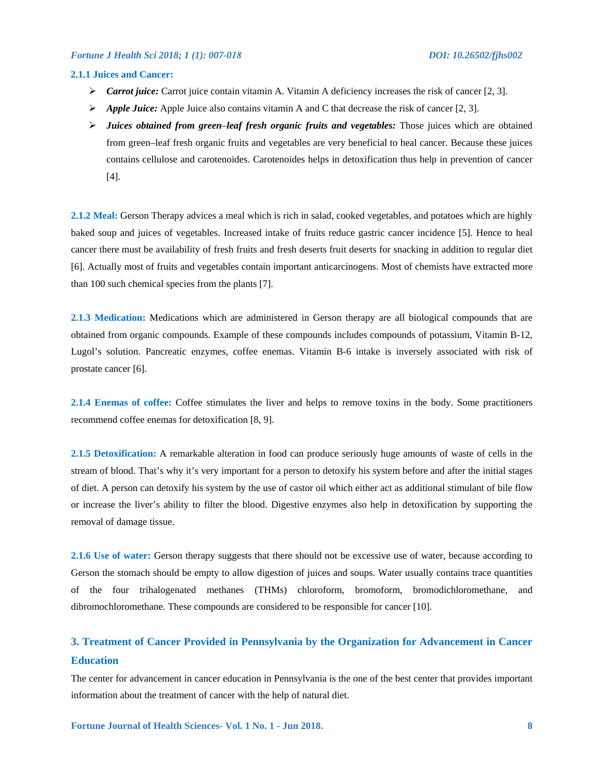# **2.1.1 Juices and Cancer:**

- *Carrot juice:* Carrot juice contain vitamin A. Vitamin A deficiency increases the risk of cancer [2, 3].
- $\triangleright$  *Apple Juice:* Apple Juice also contains vitamin A and C that decrease the risk of cancer [2, 3].
- *Juices obtained from green*–*leaf fresh organic fruits and vegetables:* Those juices which are obtained from green–leaf fresh organic fruits and vegetables are very beneficial to heal cancer. Because these juices contains cellulose and carotenoides. Carotenoides helps in detoxification thus help in prevention of cancer [4].

**2.1.2 Meal:** Gerson Therapy advices a meal which is rich in salad, cooked vegetables, and potatoes which are highly baked soup and juices of vegetables. Increased intake of fruits reduce gastric cancer incidence [5]. Hence to heal cancer there must be availability of fresh fruits and fresh deserts fruit deserts for snacking in addition to regular diet [6]. Actually most of fruits and vegetables contain important anticarcinogens. Most of chemists have extracted more than 100 such chemical species from the plants [7].

**2.1.3 Medication:** Medications which are administered in Gerson therapy are all biological compounds that are obtained from organic compounds. Example of these compounds includes compounds of potassium, Vitamin B-12, Lugol's solution. Pancreatic enzymes, coffee enemas. Vitamin B-6 intake is inversely associated with risk of prostate cancer [6].

**2.1.4 Enemas of coffee:** Coffee stimulates the liver and helps to remove toxins in the body. Some practitioners recommend coffee enemas for detoxification [8, 9].

**2.1.5 Detoxification:** A remarkable alteration in food can produce seriously huge amounts of waste of cells in the stream of blood. That's why it's very important for a person to detoxify his system before and after the initial stages of diet. A person can detoxify his system by the use of castor oil which either act as additional stimulant of bile flow or increase the liver's ability to filter the blood. Digestive enzymes also help in detoxification by supporting the removal of damage tissue.

**2.1.6 Use of water:** Gerson therapy suggests that there should not be excessive use of water, because according to Gerson the stomach should be empty to allow digestion of juices and soups. Water usually contains trace quantities of the four trihalogenated methanes (THMs) chloroform, bromoform, bromodichloromethane, and dibromochloromethane. These compounds are considered to be responsible for cancer [10].

# **3. Treatment of Cancer Provided in Pennsylvania by the Organization for Advancement in Cancer Education**

The center for advancement in cancer education in Pennsylvania is the one of the best center that provides important information about the treatment of cancer with the help of natural diet.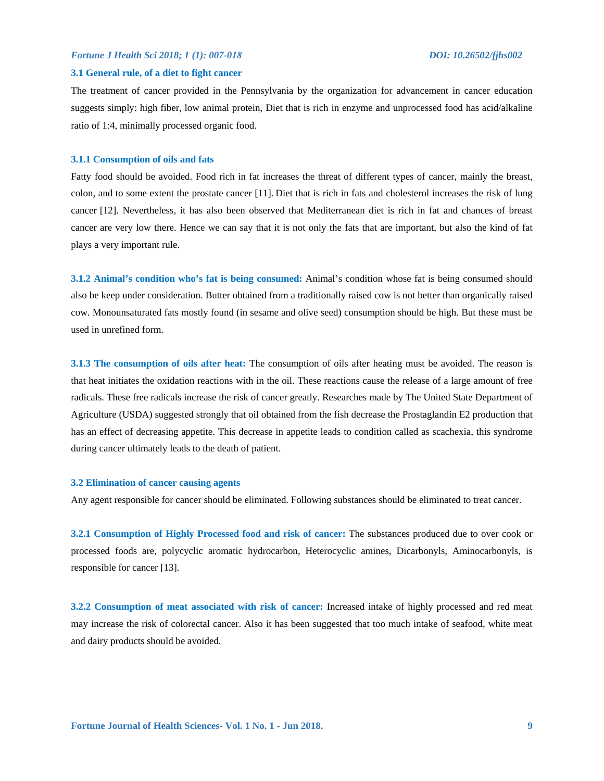#### **3.1 General rule, of a diet to fight cancer**

The treatment of cancer provided in the Pennsylvania by the organization for advancement in cancer education suggests simply: high fiber, low animal protein, Diet that is rich in enzyme and unprocessed food has acid/alkaline ratio of 1:4, minimally processed organic food.

#### **3.1.1 Consumption of oils and fats**

Fatty food should be avoided. Food rich in fat increases the threat of different types of cancer, mainly the breast, colon, and to some extent the prostate cancer [11]. Diet that is rich in fats and cholesterol increases the risk of lung cancer [12]. Nevertheless, it has also been observed that Mediterranean diet is rich in fat and chances of breast cancer are very low there. Hence we can say that it is not only the fats that are important, but also the kind of fat plays a very important rule.

**3.1.2 Animal's condition who's fat is being consumed:** Animal's condition whose fat is being consumed should also be keep under consideration. Butter obtained from a traditionally raised cow is not better than organically raised cow. Monounsaturated fats mostly found (in sesame and olive seed) consumption should be high. But these must be used in unrefined form.

**3.1.3 The consumption of oils after heat:** The consumption of oils after heating must be avoided. The reason is that heat initiates the oxidation reactions with in the oil. These reactions cause the release of a large amount of free radicals. These free radicals increase the risk of cancer greatly. Researches made by The United State Department of Agriculture (USDA) suggested strongly that oil obtained from the fish decrease the Prostaglandin E2 production that has an effect of decreasing appetite. This decrease in appetite leads to condition called as scachexia, this syndrome during cancer ultimately leads to the death of patient.

# **3.2 Elimination of cancer causing agents**

Any agent responsible for cancer should be eliminated. Following substances should be eliminated to treat cancer.

**3.2.1 Consumption of Highly Processed food and risk of cancer:** The substances produced due to over cook or processed foods are, polycyclic aromatic hydrocarbon, Heterocyclic amines, Dicarbonyls, Aminocarbonyls, is responsible for cancer [13].

**3.2.2 Consumption of meat associated with risk of cancer:** Increased intake of highly processed and red meat may increase the risk of colorectal cancer. Also it has been suggested that too much intake of seafood, white meat and dairy products should be avoided.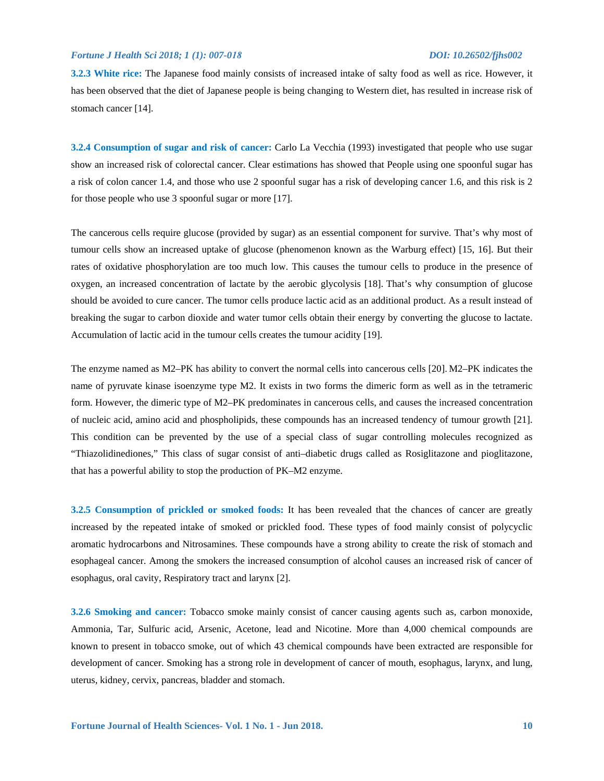**3.2.3 White rice:** The Japanese food mainly consists of increased intake of salty food as well as rice. However, it has been observed that the diet of Japanese people is being changing to Western diet, has resulted in increase risk of stomach cancer [14].

**3.2.4 Consumption of sugar and risk of cancer:** Carlo La Vecchia (1993) investigated that people who use sugar show an increased risk of colorectal cancer. Clear estimations has showed that People using one spoonful sugar has a risk of colon cancer 1.4, and those who use 2 spoonful sugar has a risk of developing cancer 1.6, and this risk is 2 for those people who use 3 spoonful sugar or more [17].

The cancerous cells require glucose (provided by sugar) as an essential component for survive. That's why most of tumour cells show an increased uptake of glucose (phenomenon known as the Warburg effect) [15, 16]. But their rates of oxidative phosphorylation are too much low. This causes the tumour cells to produce in the presence of oxygen, an increased concentration of lactate by the aerobic glycolysis [18]. That's why consumption of glucose should be avoided to cure cancer. The tumor cells produce lactic acid as an additional product. As a result instead of breaking the sugar to carbon dioxide and water tumor cells obtain their energy by converting the glucose to lactate. Accumulation of lactic acid in the tumour cells creates the tumour acidity [19].

The enzyme named as M2–PK has ability to convert the normal cells into cancerous cells [20]. M2–PK indicates the name of pyruvate kinase isoenzyme type M2. It exists in two forms the dimeric form as well as in the tetrameric form. However, the dimeric type of M2–PK predominates in cancerous cells, and causes the increased concentration of nucleic acid, amino acid and phospholipids, these compounds has an increased tendency of tumour growth [21]. This condition can be prevented by the use of a special class of sugar controlling molecules recognized as "Thiazolidinediones," This class of sugar consist of anti–diabetic drugs called as Rosiglitazone and pioglitazone, that has a powerful ability to stop the production of PK–M2 enzyme.

**3.2.5 Consumption of prickled or smoked foods:** It has been revealed that the chances of cancer are greatly increased by the repeated intake of smoked or prickled food. These types of food mainly consist of polycyclic aromatic hydrocarbons and Nitrosamines. These compounds have a strong ability to create the risk of stomach and esophageal cancer. Among the smokers the increased consumption of alcohol causes an increased risk of cancer of esophagus, oral cavity, Respiratory tract and larynx [2].

**3.2.6 Smoking and cancer:** Tobacco smoke mainly consist of cancer causing agents such as, carbon monoxide, Ammonia, Tar, Sulfuric acid, Arsenic, Acetone, lead and Nicotine. More than 4,000 chemical compounds are known to present in tobacco smoke, out of which 43 chemical compounds have been extracted are responsible for development of cancer. Smoking has a strong role in development of cancer of mouth, esophagus, larynx, and lung, uterus, kidney, cervix, pancreas, bladder and stomach.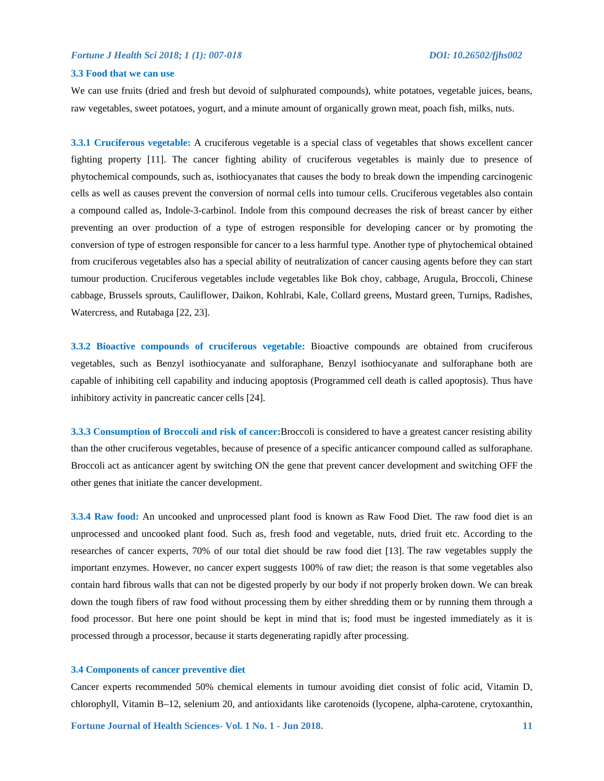### **3.3 Food that we can use**

We can use fruits (dried and fresh but devoid of sulphurated compounds), white potatoes, vegetable juices, beans, raw vegetables, sweet potatoes, yogurt, and a minute amount of organically grown meat, poach fish, milks, nuts.

**3.3.1 Cruciferous vegetable:** A cruciferous vegetable is a special class of vegetables that shows excellent cancer fighting property [11]. The cancer fighting ability of cruciferous vegetables is mainly due to presence of phytochemical compounds, such as, isothiocyanates that causes the body to break down the impending carcinogenic cells as well as causes prevent the conversion of normal cells into tumour cells. Cruciferous vegetables also contain a compound called as, Indole-3-carbinol. Indole from this compound decreases the risk of breast cancer by either preventing an over production of a type of estrogen responsible for developing cancer or by promoting the conversion of type of estrogen responsible for cancer to a less harmful type. Another type of phytochemical obtained from cruciferous vegetables also has a special ability of neutralization of cancer causing agents before they can start tumour production. Cruciferous vegetables include vegetables like Bok choy, cabbage, Arugula, Broccoli, Chinese cabbage, Brussels sprouts, Cauliflower, Daikon, Kohlrabi, Kale, Collard greens, Mustard green, Turnips, Radishes, Watercress, and Rutabaga [22, 23].

**3.3.2 Bioactive compounds of cruciferous vegetable:** Bioactive compounds are obtained from cruciferous vegetables, such as Benzyl isothiocyanate and sulforaphane, Benzyl isothiocyanate and sulforaphane both are capable of inhibiting cell capability and inducing apoptosis (Programmed cell death is called apoptosis). Thus have inhibitory activity in pancreatic cancer cells [24].

**3.3.3 Consumption of Broccoli and risk of cancer:**Broccoli is considered to have a greatest cancer resisting ability than the other cruciferous vegetables, because of presence of a specific anticancer compound called as sulforaphane. Broccoli act as anticancer agent by switching ON the gene that prevent cancer development and switching OFF the other genes that initiate the cancer development.

**3.3.4 Raw food:** An uncooked and unprocessed plant food is known as Raw Food Diet. The raw food diet is an unprocessed and uncooked plant food. Such as, fresh food and vegetable, nuts, dried fruit etc. According to the researches of cancer experts, 70% of our total diet should be raw food diet [13]. The raw vegetables supply the important enzymes. However, no cancer expert suggests 100% of raw diet; the reason is that some vegetables also contain hard fibrous walls that can not be digested properly by our body if not properly broken down. We can break down the tough fibers of raw food without processing them by either shredding them or by running them through a food processor. But here one point should be kept in mind that is; food must be ingested immediately as it is processed through a processor, because it starts degenerating rapidly after processing.

## **3.4 Components of cancer preventive diet**

Cancer experts recommended 50% chemical elements in tumour avoiding diet consist of folic acid, Vitamin D, chlorophyll, Vitamin B–12, selenium 20, and antioxidants like carotenoids (lycopene, alpha-carotene, crytoxanthin,

**Fortune Journal of Health Sciences- Vol. 1 No. 1 - Jun 2018.** 11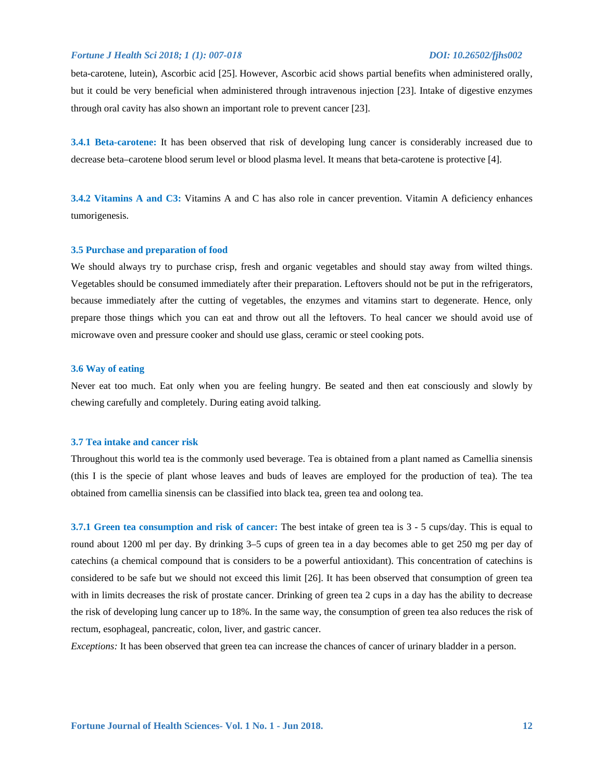beta-carotene, lutein), Ascorbic acid [25]. However, Ascorbic acid shows partial benefits when administered orally, but it could be very beneficial when administered through intravenous injection [23]. Intake of digestive enzymes through oral cavity has also shown an important role to prevent cancer [23].

**3.4.1 Beta-carotene:** It has been observed that risk of developing lung cancer is considerably increased due to decrease beta–carotene blood serum level or blood plasma level. It means that beta-carotene is protective [4].

**3.4.2 Vitamins A and C3:** Vitamins A and C has also role in cancer prevention. Vitamin A deficiency enhances tumorigenesis.

#### **3.5 Purchase and preparation of food**

We should always try to purchase crisp, fresh and organic vegetables and should stay away from wilted things. Vegetables should be consumed immediately after their preparation. Leftovers should not be put in the refrigerators, because immediately after the cutting of vegetables, the enzymes and vitamins start to degenerate. Hence, only prepare those things which you can eat and throw out all the leftovers. To heal cancer we should avoid use of microwave oven and pressure cooker and should use glass, ceramic or steel cooking pots.

### **3.6 Way of eating**

Never eat too much. Eat only when you are feeling hungry. Be seated and then eat consciously and slowly by chewing carefully and completely. During eating avoid talking.

# **3.7 Tea intake and cancer risk**

Throughout this world tea is the commonly used beverage. Tea is obtained from a plant named as Camellia sinensis (this I is the specie of plant whose leaves and buds of leaves are employed for the production of tea). The tea obtained from camellia sinensis can be classified into black tea, green tea and oolong tea.

**3.7.1 Green tea consumption and risk of cancer:** The best intake of green tea is 3 - 5 cups/day. This is equal to round about 1200 ml per day. By drinking 3–5 cups of green tea in a day becomes able to get 250 mg per day of catechins (a chemical compound that is considers to be a powerful antioxidant). This concentration of catechins is considered to be safe but we should not exceed this limit [26]. It has been observed that consumption of green tea with in limits decreases the risk of prostate cancer. Drinking of green tea 2 cups in a day has the ability to decrease the risk of developing lung cancer up to 18%. In the same way, the consumption of green tea also reduces the risk of rectum, esophageal, pancreatic, colon, liver, and gastric cancer.

*Exceptions:* It has been observed that green tea can increase the chances of cancer of urinary bladder in a person.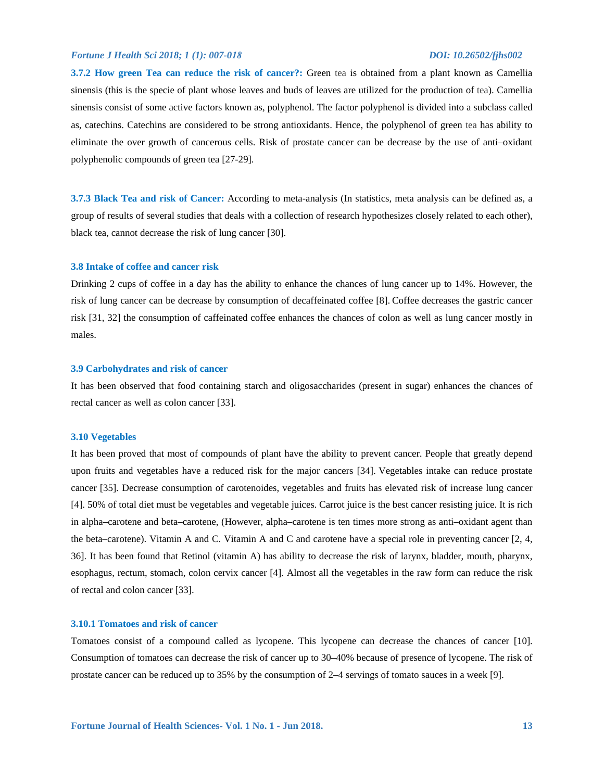**3.7.2 How green Tea can reduce the risk of cancer?:** Green tea is obtained from a plant known as Camellia sinensis (this is the specie of plant whose leaves and buds of leaves are utilized for the production of tea). Camellia sinensis consist of some active factors known as, polyphenol. The factor polyphenol is divided into a subclass called as, catechins. Catechins are considered to be strong antioxidants. Hence, the polyphenol of green tea has ability to eliminate the over growth of cancerous cells. Risk of prostate cancer can be decrease by the use of anti–oxidant polyphenolic compounds of green tea [27-29].

**3.7.3 Black Tea and risk of Cancer:** According to meta-analysis (In statistics, meta analysis can be defined as, a group of results of several studies that deals with a collection of research hypothesizes closely related to each other), black tea, cannot decrease the risk of lung cancer [30].

#### **3.8 Intake of coffee and cancer risk**

Drinking 2 cups of coffee in a day has the ability to enhance the chances of lung cancer up to 14%. However, the risk of lung cancer can be decrease by consumption of decaffeinated coffee [8]. Coffee decreases the gastric cancer risk [31, 32] the consumption of caffeinated coffee enhances the chances of colon as well as lung cancer mostly in males.

### **3.9 Carbohydrates and risk of cancer**

It has been observed that food containing starch and oligosaccharides (present in sugar) enhances the chances of rectal cancer as well as colon cancer [33].

#### **3.10 Vegetables**

It has been proved that most of compounds of plant have the ability to prevent cancer. People that greatly depend upon fruits and vegetables have a reduced risk for the major cancers [34]. Vegetables intake can reduce prostate cancer [35]. Decrease consumption of carotenoides, vegetables and fruits has elevated risk of increase lung cancer [4]. 50% of total diet must be vegetables and vegetable juices. Carrot juice is the best cancer resisting juice. It is rich in alpha–carotene and beta–carotene, (However, alpha–carotene is ten times more strong as anti–oxidant agent than the beta–carotene). Vitamin A and C. Vitamin A and C and carotene have a special role in preventing cancer [2, 4, 36]. It has been found that Retinol (vitamin A) has ability to decrease the risk of larynx, bladder, mouth, pharynx, esophagus, rectum, stomach, colon cervix cancer [4]. Almost all the vegetables in the raw form can reduce the risk of rectal and colon cancer [33].

### **3.10.1 Tomatoes and risk of cancer**

Tomatoes consist of a compound called as lycopene. This lycopene can decrease the chances of cancer [10]. Consumption of tomatoes can decrease the risk of cancer up to 30–40% because of presence of lycopene. The risk of prostate cancer can be reduced up to 35% by the consumption of 2–4 servings of tomato sauces in a week [9].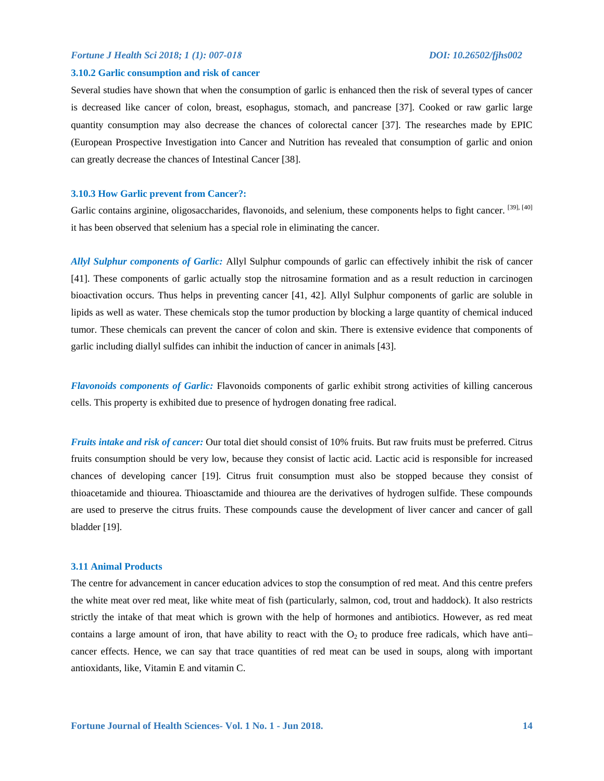#### **3.10.2 Garlic consumption and risk of cancer**

Several studies have shown that when the consumption of garlic is enhanced then the risk of several types of cancer is decreased like cancer of colon, breast, esophagus, stomach, and pancrease [37]. Cooked or raw garlic large quantity consumption may also decrease the chances of colorectal cancer [37]. The researches made by EPIC (European Prospective Investigation into Cancer and Nutrition has revealed that consumption of garlic and onion can greatly decrease the chances of Intestinal Cancer [38].

#### **3.10.3 How Garlic prevent from Cancer?:**

Garlic contains arginine, oligosaccharides, flavonoids, and selenium, these components helps to fight cancer. [39], [40] it has been observed that selenium has a special role in eliminating the cancer.

*Allyl Sulphur components of Garlic:* Allyl Sulphur compounds of garlic can effectively inhibit the risk of cancer [41]. These components of garlic actually stop the nitrosamine formation and as a result reduction in carcinogen bioactivation occurs. Thus helps in preventing cancer [41, 42]. Allyl Sulphur components of garlic are soluble in lipids as well as water. These chemicals stop the tumor production by blocking a large quantity of chemical induced tumor. These chemicals can prevent the cancer of colon and skin. There is extensive evidence that components of garlic including diallyl sulfides can inhibit the induction of cancer in animals [43].

*Flavonoids components of Garlic:* Flavonoids components of garlic exhibit strong activities of killing cancerous cells. This property is exhibited due to presence of hydrogen donating free radical.

*Fruits intake and risk of cancer:* Our total diet should consist of 10% fruits. But raw fruits must be preferred. Citrus fruits consumption should be very low, because they consist of lactic acid. Lactic acid is responsible for increased chances of developing cancer [19]. Citrus fruit consumption must also be stopped because they consist of thioacetamide and thiourea. Thioasctamide and thiourea are the derivatives of hydrogen sulfide. These compounds are used to preserve the citrus fruits. These compounds cause the development of liver cancer and cancer of gall bladder [19].

#### **3.11 Animal Products**

The centre for advancement in cancer education advices to stop the consumption of red meat. And this centre prefers the white meat over red meat, like white meat of fish (particularly, salmon, cod, trout and haddock). It also restricts strictly the intake of that meat which is grown with the help of hormones and antibiotics. However, as red meat contains a large amount of iron, that have ability to react with the  $O_2$  to produce free radicals, which have anticancer effects. Hence, we can say that trace quantities of red meat can be used in soups, along with important antioxidants, like, Vitamin E and vitamin C.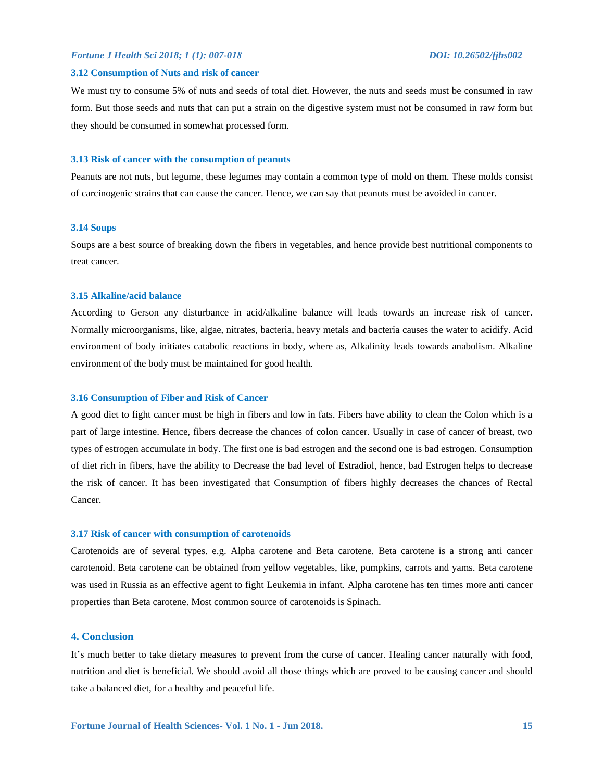#### **3.12 Consumption of Nuts and risk of cancer**

We must try to consume 5% of nuts and seeds of total diet. However, the nuts and seeds must be consumed in raw form. But those seeds and nuts that can put a strain on the digestive system must not be consumed in raw form but they should be consumed in somewhat processed form.

#### **3.13 Risk of cancer with the consumption of peanuts**

Peanuts are not nuts, but legume, these legumes may contain a common type of mold on them. These molds consist of carcinogenic strains that can cause the cancer. Hence, we can say that peanuts must be avoided in cancer.

### **3.14 Soups**

Soups are a best source of breaking down the fibers in vegetables, and hence provide best nutritional components to treat cancer.

#### **3.15 Alkaline/acid balance**

According to Gerson any disturbance in acid/alkaline balance will leads towards an increase risk of cancer. Normally microorganisms, like, algae, nitrates, bacteria, heavy metals and bacteria causes the water to acidify. Acid environment of body initiates catabolic reactions in body, where as, Alkalinity leads towards anabolism. Alkaline environment of the body must be maintained for good health.

#### **3.16 Consumption of Fiber and Risk of Cancer**

A good diet to fight cancer must be high in fibers and low in fats. Fibers have ability to clean the Colon which is a part of large intestine. Hence, fibers decrease the chances of colon cancer. Usually in case of cancer of breast, two types of estrogen accumulate in body. The first one is bad estrogen and the second one is bad estrogen. Consumption of diet rich in fibers, have the ability to Decrease the bad level of Estradiol, hence, bad Estrogen helps to decrease the risk of cancer. It has been investigated that Consumption of fibers highly decreases the chances of Rectal Cancer.

#### **3.17 Risk of cancer with consumption of carotenoids**

Carotenoids are of several types. e.g. Alpha carotene and Beta carotene. Beta carotene is a strong anti cancer carotenoid. Beta carotene can be obtained from yellow vegetables, like, pumpkins, carrots and yams. Beta carotene was used in Russia as an effective agent to fight Leukemia in infant. Alpha carotene has ten times more anti cancer properties than Beta carotene. Most common source of carotenoids is Spinach.

# **4. Conclusion**

It's much better to take dietary measures to prevent from the curse of cancer. Healing cancer naturally with food, nutrition and diet is beneficial. We should avoid all those things which are proved to be causing cancer and should take a balanced diet, for a healthy and peaceful life.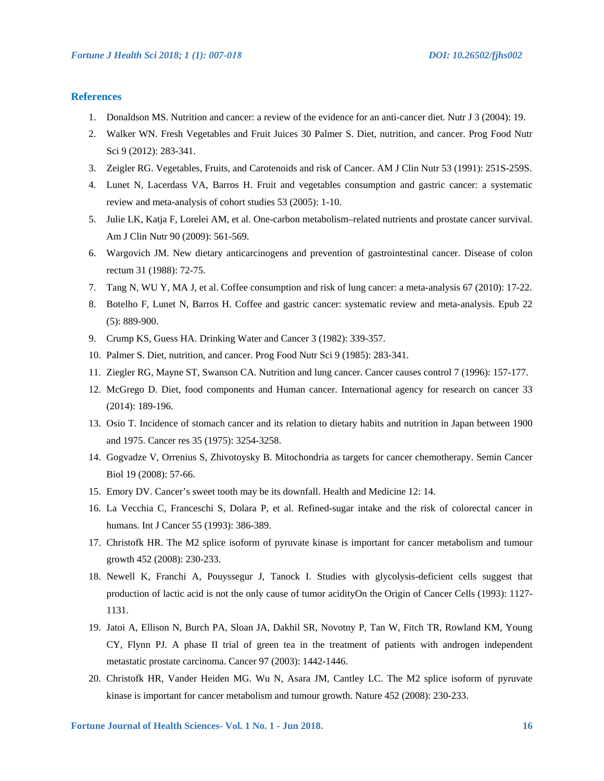# **References**

- 1. Donaldson MS. Nutrition and cancer: a review of the evidence for an anti-cancer diet. Nutr J 3 (2004): 19.
- 2. Walker WN. Fresh Vegetables and Fruit Juices 30 Palmer S. Diet, nutrition, and cancer. Prog Food Nutr Sci 9 (2012): 283-341.
- 3. Zeigler RG. Vegetables, Fruits, and Carotenoids and risk of Cancer. AM J Clin Nutr 53 (1991): 251S-259S.
- 4. Lunet N, Lacerdass VA, Barros H. Fruit and vegetables consumption and gastric cancer: a systematic review and meta-analysis of cohort studies 53 (2005): 1-10.
- 5. Julie LK, Katja F, Lorelei AM, et al. One-carbon metabolism–related nutrients and prostate cancer survival. Am J Clin Nutr 90 (2009): 561-569.
- 6. Wargovich JM. New dietary anticarcinogens and prevention of gastrointestinal cancer. Disease of colon rectum 31 (1988): 72-75.
- 7. Tang N, WU Y, MA J, et al. Coffee consumption and risk of lung cancer: a meta-analysis 67 (2010): 17-22.
- 8. Botelho F, Lunet N, Barros H. Coffee and gastric cancer: systematic review and meta-analysis. Epub 22 (5): 889-900.
- 9. Crump KS, Guess HA. Drinking Water and Cancer 3 (1982): 339-357.
- 10. Palmer S. Diet, nutrition, and cancer. Prog Food Nutr Sci 9 (1985): 283-341.
- 11. Ziegler RG, Mayne ST, Swanson CA. Nutrition and lung cancer. Cancer causes control 7 (1996): 157-177.
- 12. McGrego D. Diet, food components and Human cancer. International agency for research on cancer 33 (2014): 189-196.
- 13. Osio T. Incidence of stomach cancer and its relation to dietary habits and nutrition in Japan between 1900 and 1975. Cancer res 35 (1975): 3254-3258.
- 14. Gogvadze V, Orrenius S, Zhivotoysky B. Mitochondria as targets for cancer chemotherapy. Semin Cancer Biol 19 (2008): 57-66.
- 15. Emory DV. Cancer's sweet tooth may be its downfall. Health and Medicine 12: 14.
- 16. La Vecchia C, Franceschi S, Dolara P, et al. Refined-sugar intake and the risk of colorectal cancer in humans. Int J Cancer 55 (1993): 386-389.
- 17. Christofk HR. The M2 splice isoform of pyruvate kinase is important for cancer metabolism and tumour growth 452 (2008): 230-233.
- 18. Newell K, Franchi A, Pouyssegur J, Tanock I. Studies with glycolysis-deficient cells suggest that production of lactic acid is not the only cause of tumor acidityOn the Origin of Cancer Cells (1993): 1127- 1131.
- 19. Jatoi A, Ellison N, Burch PA, Sloan JA, Dakhil SR, Novotny P, Tan W, Fitch TR, Rowland KM, Young CY, Flynn PJ. A phase II trial of green tea in the treatment of patients with androgen independent metastatic prostate carcinoma. Cancer 97 (2003): 1442-1446.
- 20. Christofk HR, Vander Heiden MG. Wu N, Asara JM, Cantley LC. The M2 splice isoform of pyruvate kinase is important for cancer metabolism and tumour growth. Nature 452 (2008): 230-233.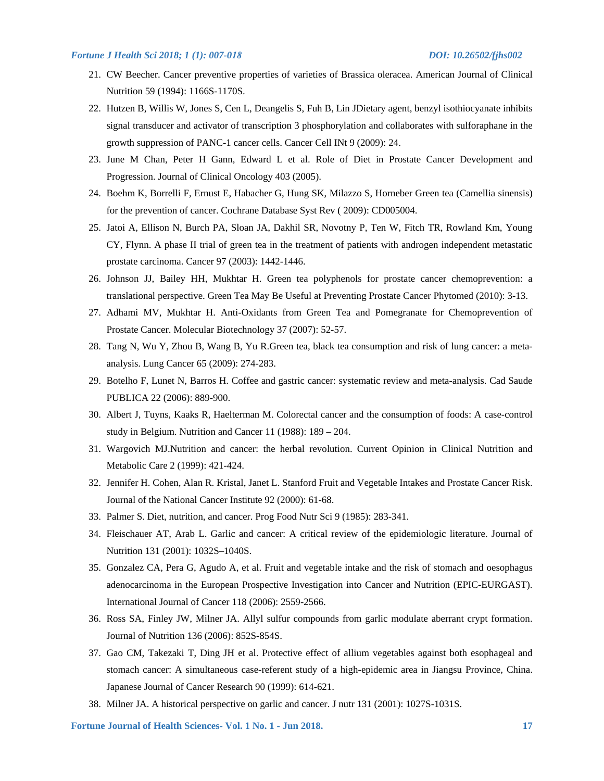- 21. CW Beecher. Cancer preventive properties of varieties of Brassica oleracea. American Journal of Clinical Nutrition 59 (1994): 1166S-1170S.
- 22. Hutzen B, Willis W, Jones S, Cen L, Deangelis S, Fuh B, Lin JDietary agent, benzyl isothiocyanate inhibits signal transducer and activator of transcription 3 phosphorylation and collaborates with sulforaphane in the growth suppression of PANC-1 cancer cells. Cancer Cell INt 9 (2009): 24.
- 23. June M Chan, Peter H Gann, Edward L et al. Role of Diet in Prostate Cancer Development and Progression. Journal of Clinical Oncology 403 (2005).
- 24. Boehm K, Borrelli F, Ernust E, Habacher G, Hung SK, Milazzo S, Horneber Green tea (Camellia sinensis) for the prevention of cancer. Cochrane Database Syst Rev ( 2009): CD005004.
- 25. Jatoi A, Ellison N, Burch PA, Sloan JA, Dakhil SR, Novotny P, Ten W, Fitch TR, Rowland Km, Young CY, Flynn. A phase II trial of green tea in the treatment of patients with androgen independent metastatic prostate carcinoma. Cancer 97 (2003): 1442-1446.
- 26. Johnson JJ, Bailey HH, Mukhtar H. Green tea polyphenols for prostate cancer chemoprevention: a translational perspective. Green Tea May Be Useful at Preventing Prostate Cancer Phytomed (2010): 3-13.
- 27. Adhami MV, Mukhtar H. Anti-Oxidants from Green Tea and Pomegranate for Chemoprevention of Prostate Cancer. Molecular Biotechnology 37 (2007): 52-57.
- 28. Tang N, Wu Y, Zhou B, Wang B, Yu R.Green tea, black tea consumption and risk of lung cancer: a metaanalysis. Lung Cancer 65 (2009): 274-283.
- 29. Botelho F, Lunet N, Barros H. Coffee and gastric cancer: systematic review and meta-analysis. Cad Saude PUBLICA 22 (2006): 889-900.
- 30. Albert J, Tuyns, Kaaks R, Haelterman M. Colorectal cancer and the consumption of foods: A case-control study in Belgium. Nutrition and Cancer 11 (1988): 189 – 204.
- 31. Wargovich MJ.Nutrition and cancer: the herbal revolution. Current Opinion in Clinical Nutrition and Metabolic Care 2 (1999): 421-424.
- 32. Jennifer H. Cohen, Alan R. Kristal, Janet L. Stanford Fruit and Vegetable Intakes and Prostate Cancer Risk. Journal of the National Cancer Institute 92 (2000): 61-68.
- 33. Palmer S. Diet, nutrition, and cancer. Prog Food Nutr Sci 9 (1985): 283-341.
- 34. Fleischauer AT, Arab L. Garlic and cancer: A critical review of the epidemiologic literature. Journal of Nutrition 131 (2001): 1032S–1040S.
- 35. Gonzalez CA, Pera G, Agudo A, et al. Fruit and vegetable intake and the risk of stomach and oesophagus adenocarcinoma in the European Prospective Investigation into Cancer and Nutrition (EPIC-EURGAST). International Journal of Cancer 118 (2006): 2559-2566.
- 36. Ross SA, Finley JW, Milner JA. Allyl sulfur compounds from garlic modulate aberrant crypt formation. Journal of Nutrition 136 (2006): 852S-854S.
- 37. Gao CM, Takezaki T, Ding JH et al. Protective effect of allium vegetables against both esophageal and stomach cancer: A simultaneous case-referent study of a high-epidemic area in Jiangsu Province, China. Japanese Journal of Cancer Research 90 (1999): 614-621.
- 38. Milner JA. A historical perspective on garlic and cancer. J nutr 131 (2001): 1027S-1031S.

**Fortune Journal of Health Sciences- Vol. 1 No. 1 - Jun 2018. 17**